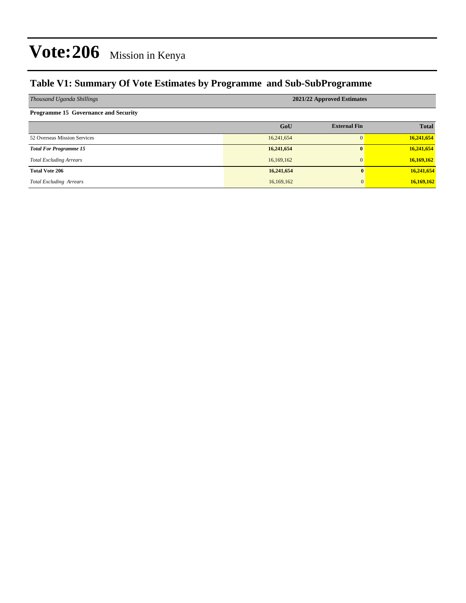### **Table V1: Summary Of Vote Estimates by Programme and Sub-SubProgramme**

| Thousand Uganda Shillings                   | 2021/22 Approved Estimates |                     |              |  |  |  |  |
|---------------------------------------------|----------------------------|---------------------|--------------|--|--|--|--|
| <b>Programme 15 Governance and Security</b> |                            |                     |              |  |  |  |  |
|                                             | GoU                        | <b>External Fin</b> | <b>Total</b> |  |  |  |  |
| 52 Overseas Mission Services                | 16,241,654                 | $\Omega$            | 16,241,654   |  |  |  |  |
| <b>Total For Programme 15</b>               | 16,241,654                 | $\mathbf{0}$        | 16,241,654   |  |  |  |  |
| <b>Total Excluding Arrears</b>              | 16,169,162                 | $\mathbf{0}$        | 16,169,162   |  |  |  |  |
| <b>Total Vote 206</b>                       | 16,241,654                 | $\mathbf{0}$        | 16,241,654   |  |  |  |  |
| <b>Total Excluding Arrears</b>              | 16,169,162                 | $\Omega$            | 16,169,162   |  |  |  |  |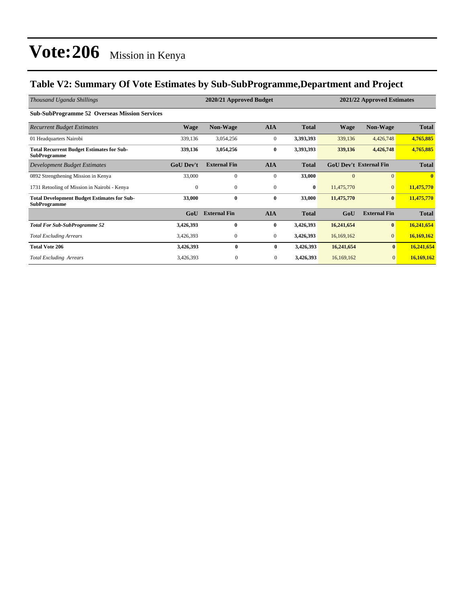### **Table V2: Summary Of Vote Estimates by Sub-SubProgramme,Department and Project**

| Thousand Uganda Shillings                                                 | 2020/21 Approved Budget<br>2021/22 Approved Estimates |                     |                  |              |             |                               |              |
|---------------------------------------------------------------------------|-------------------------------------------------------|---------------------|------------------|--------------|-------------|-------------------------------|--------------|
| <b>Sub-SubProgramme 52 Overseas Mission Services</b>                      |                                                       |                     |                  |              |             |                               |              |
| <b>Recurrent Budget Estimates</b>                                         | <b>Wage</b>                                           | <b>Non-Wage</b>     | <b>AIA</b>       | <b>Total</b> | <b>Wage</b> | <b>Non-Wage</b>               | <b>Total</b> |
| 01 Headquarters Nairobi                                                   | 339,136                                               | 3,054,256           | $\boldsymbol{0}$ | 3,393,393    | 339,136     | 4,426,748                     | 4,765,885    |
| <b>Total Recurrent Budget Estimates for Sub-</b><br><b>SubProgramme</b>   | 339,136                                               | 3,054,256           | $\bf{0}$         | 3,393,393    | 339,136     | 4,426,748                     | 4,765,885    |
| Development Budget Estimates                                              | <b>GoU Dev't</b>                                      | <b>External Fin</b> | <b>AIA</b>       | <b>Total</b> |             | <b>GoU Dev't External Fin</b> | <b>Total</b> |
| 0892 Strengthening Mission in Kenya                                       | 33,000                                                | $\mathbf{0}$        | $\mathbf{0}$     | 33,000       | $\Omega$    | $\mathbf{0}$                  | $\mathbf{0}$ |
| 1731 Retooling of Mission in Nairobi - Kenya                              | $\mathbf{0}$                                          | $\mathbf{0}$        | $\mathbf{0}$     | $\bf{0}$     | 11,475,770  | $\mathbf{0}$                  | 11,475,770   |
| <b>Total Development Budget Estimates for Sub-</b><br><b>SubProgramme</b> | 33,000                                                | $\bf{0}$            | $\bf{0}$         | 33,000       | 11,475,770  | $\bf{0}$                      | 11,475,770   |
|                                                                           | GoU                                                   | <b>External Fin</b> | <b>AIA</b>       | <b>Total</b> | GoU         | <b>External Fin</b>           | <b>Total</b> |
| <b>Total For Sub-SubProgramme 52</b>                                      | 3,426,393                                             | $\bf{0}$            | $\bf{0}$         | 3,426,393    | 16,241,654  | $\bf{0}$                      | 16,241,654   |
| <b>Total Excluding Arrears</b>                                            | 3,426,393                                             | $\mathbf{0}$        | $\mathbf{0}$     | 3,426,393    | 16,169,162  | $\overline{0}$                | 16,169,162   |
| <b>Total Vote 206</b>                                                     | 3,426,393                                             | $\bf{0}$            | $\bf{0}$         | 3,426,393    | 16,241,654  | $\bf{0}$                      | 16,241,654   |
| <b>Total Excluding Arrears</b>                                            | 3,426,393                                             | $\mathbf{0}$        | $\overline{0}$   | 3,426,393    | 16,169,162  | $\mathbf{0}$                  | 16,169,162   |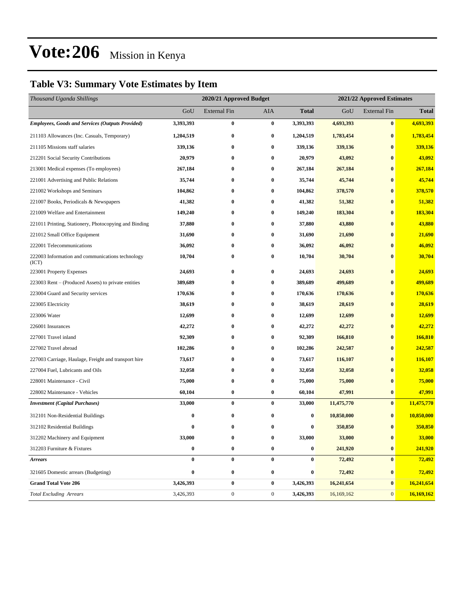### **Table V3: Summary Vote Estimates by Item**

| Thousand Uganda Shillings                                 |           | 2020/21 Approved Budget |                  | 2021/22 Approved Estimates |            |                     |              |
|-----------------------------------------------------------|-----------|-------------------------|------------------|----------------------------|------------|---------------------|--------------|
|                                                           | GoU       | <b>External Fin</b>     | AIA              | <b>Total</b>               | GoU        | <b>External Fin</b> | <b>Total</b> |
| <b>Employees, Goods and Services (Outputs Provided)</b>   | 3,393,393 | $\bf{0}$                | $\bf{0}$         | 3,393,393                  | 4,693,393  | $\bf{0}$            | 4,693,393    |
| 211103 Allowances (Inc. Casuals, Temporary)               | 1,204,519 | $\bf{0}$                | $\bf{0}$         | 1,204,519                  | 1,783,454  | $\bf{0}$            | 1,783,454    |
| 211105 Missions staff salaries                            | 339,136   | 0                       | $\bf{0}$         | 339,136                    | 339,136    | $\bf{0}$            | 339,136      |
| 212201 Social Security Contributions                      | 20,979    | $\bf{0}$                | $\bf{0}$         | 20,979                     | 43,092     | $\bf{0}$            | 43,092       |
| 213001 Medical expenses (To employees)                    | 267,184   | 0                       | $\bf{0}$         | 267,184                    | 267,184    | $\bf{0}$            | 267,184      |
| 221001 Advertising and Public Relations                   | 35,744    | $\bf{0}$                | $\bf{0}$         | 35,744                     | 45,744     | $\bf{0}$            | 45,744       |
| 221002 Workshops and Seminars                             | 104,862   | $\bf{0}$                | $\bf{0}$         | 104,862                    | 378,570    | $\bf{0}$            | 378,570      |
| 221007 Books, Periodicals & Newspapers                    | 41,382    | 0                       | $\bf{0}$         | 41,382                     | 51,382     | $\bf{0}$            | 51,382       |
| 221009 Welfare and Entertainment                          | 149,240   | 0                       | $\bf{0}$         | 149,240                    | 183,304    | $\bf{0}$            | 183,304      |
| 221011 Printing, Stationery, Photocopying and Binding     | 37,880    | 0                       | $\bf{0}$         | 37,880                     | 43,880     | $\bf{0}$            | 43,880       |
| 221012 Small Office Equipment                             | 31,690    | $\bf{0}$                | $\bf{0}$         | 31,690                     | 21,690     | $\bf{0}$            | 21,690       |
| 222001 Telecommunications                                 | 36,092    | $\bf{0}$                | $\bf{0}$         | 36,092                     | 46,092     | $\bf{0}$            | 46,092       |
| 222003 Information and communications technology<br>(ICT) | 10,704    | 0                       | $\bf{0}$         | 10,704                     | 30,704     | $\bf{0}$            | 30,704       |
| 223001 Property Expenses                                  | 24,693    | $\bf{0}$                | $\bf{0}$         | 24,693                     | 24,693     | $\bf{0}$            | 24,693       |
| 223003 Rent – (Produced Assets) to private entities       | 389,689   | $\bf{0}$                | $\bf{0}$         | 389,689                    | 499,689    | $\bf{0}$            | 499,689      |
| 223004 Guard and Security services                        | 170,636   | 0                       | $\bf{0}$         | 170,636                    | 170,636    | $\bf{0}$            | 170,636      |
| 223005 Electricity                                        | 38,619    | 0                       | $\bf{0}$         | 38,619                     | 28,619     | $\bf{0}$            | 28,619       |
| 223006 Water                                              | 12,699    | $\bf{0}$                | $\bf{0}$         | 12,699                     | 12,699     | $\bf{0}$            | 12,699       |
| 226001 Insurances                                         | 42,272    | 0                       | $\bf{0}$         | 42,272                     | 42,272     | $\bf{0}$            | 42,272       |
| 227001 Travel inland                                      | 92,309    | $\bf{0}$                | $\bf{0}$         | 92,309                     | 166,810    | $\bf{0}$            | 166,810      |
| 227002 Travel abroad                                      | 102,286   | 0                       | $\bf{0}$         | 102,286                    | 242,587    | $\bf{0}$            | 242,587      |
| 227003 Carriage, Haulage, Freight and transport hire      | 73,617    | 0                       | $\bf{0}$         | 73,617                     | 116,107    | $\bf{0}$            | 116,107      |
| 227004 Fuel, Lubricants and Oils                          | 32,058    | $\bf{0}$                | $\bf{0}$         | 32,058                     | 32,058     | $\bf{0}$            | 32,058       |
| 228001 Maintenance - Civil                                | 75,000    | 0                       | $\bf{0}$         | 75,000                     | 75,000     | $\bf{0}$            | 75,000       |
| 228002 Maintenance - Vehicles                             | 60,104    | $\bf{0}$                | $\bf{0}$         | 60,104                     | 47,991     | $\bf{0}$            | 47,991       |
| <b>Investment</b> (Capital Purchases)                     | 33,000    | $\bf{0}$                | $\bf{0}$         | 33,000                     | 11,475,770 | $\bf{0}$            | 11,475,770   |
| 312101 Non-Residential Buildings                          | $\bf{0}$  | $\bf{0}$                | $\bf{0}$         | $\boldsymbol{0}$           | 10,850,000 | $\bf{0}$            | 10,850,000   |
| 312102 Residential Buildings                              | $\bf{0}$  | $\bf{0}$                | $\bf{0}$         | 0                          | 350,850    | $\bf{0}$            | 350,850      |
| 312202 Machinery and Equipment                            | 33,000    | $\bf{0}$                | $\bf{0}$         | 33,000                     | 33,000     | $\bf{0}$            | 33,000       |
| 312203 Furniture & Fixtures                               | $\bf{0}$  | $\bf{0}$                | $\bf{0}$         | $\boldsymbol{0}$           | 241,920    | $\bf{0}$            | 241,920      |
| <b>Arrears</b>                                            | $\bf{0}$  | $\bf{0}$                | $\bf{0}$         | $\bf{0}$                   | 72,492     | $\bf{0}$            | 72,492       |
| 321605 Domestic arrears (Budgeting)                       | $\bf{0}$  | $\bf{0}$                | $\bf{0}$         | 0                          | 72,492     | $\bf{0}$            | 72,492       |
| <b>Grand Total Vote 206</b>                               | 3,426,393 | $\pmb{0}$               | $\bf{0}$         | 3,426,393                  | 16,241,654 | $\pmb{0}$           | 16,241,654   |
| <b>Total Excluding Arrears</b>                            | 3,426,393 | $\boldsymbol{0}$        | $\boldsymbol{0}$ | 3,426,393                  | 16,169,162 | $\mathbf{0}$        | 16,169,162   |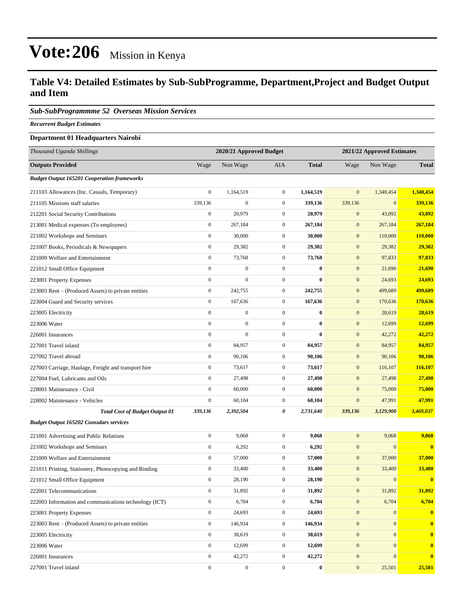#### **Table V4: Detailed Estimates by Sub-SubProgramme, Department,Project and Budget Output and Item**

#### *Sub-SubProgrammme 52 Overseas Mission Services*

*Recurrent Budget Estimates*

#### **Department 01 Headquarters Nairobi**

| Thousand Uganda Shillings                              |                  | 2020/21 Approved Budget |                  | 2021/22 Approved Estimates |                  |              |              |
|--------------------------------------------------------|------------------|-------------------------|------------------|----------------------------|------------------|--------------|--------------|
| <b>Outputs Provided</b>                                | Wage             | Non Wage                | <b>AIA</b>       | <b>Total</b>               | Wage             | Non Wage     | <b>Total</b> |
| <b>Budget Output 165201 Cooperation frameworks</b>     |                  |                         |                  |                            |                  |              |              |
| 211103 Allowances (Inc. Casuals, Temporary)            | $\boldsymbol{0}$ | 1,164,519               | $\boldsymbol{0}$ | 1,164,519                  | $\mathbf{0}$     | 1,340,454    | 1,340,454    |
| 211105 Missions staff salaries                         | 339,136          | $\boldsymbol{0}$        | $\boldsymbol{0}$ | 339,136                    | 339,136          | $\mathbf{0}$ | 339,136      |
| 212201 Social Security Contributions                   | $\boldsymbol{0}$ | 20,979                  | $\boldsymbol{0}$ | 20,979                     | $\boldsymbol{0}$ | 43,092       | 43,092       |
| 213001 Medical expenses (To employees)                 | $\boldsymbol{0}$ | 267,184                 | $\boldsymbol{0}$ | 267,184                    | $\boldsymbol{0}$ | 267,184      | 267,184      |
| 221002 Workshops and Seminars                          | $\boldsymbol{0}$ | 30,000                  | $\boldsymbol{0}$ | 30,000                     | $\boldsymbol{0}$ | 110,000      | 110,000      |
| 221007 Books, Periodicals & Newspapers                 | $\boldsymbol{0}$ | 29,382                  | $\boldsymbol{0}$ | 29,382                     | $\boldsymbol{0}$ | 29,382       | 29,382       |
| 221009 Welfare and Entertainment                       | $\boldsymbol{0}$ | 73,768                  | $\boldsymbol{0}$ | 73,768                     | $\boldsymbol{0}$ | 97,833       | 97,833       |
| 221012 Small Office Equipment                          | $\boldsymbol{0}$ | $\boldsymbol{0}$        | $\boldsymbol{0}$ | $\bf{0}$                   | $\mathbf{0}$     | 21,690       | 21,690       |
| 223001 Property Expenses                               | $\boldsymbol{0}$ | $\boldsymbol{0}$        | $\boldsymbol{0}$ | $\bf{0}$                   | $\boldsymbol{0}$ | 24,693       | 24,693       |
| 223003 Rent – (Produced Assets) to private entities    | $\boldsymbol{0}$ | 242,755                 | $\boldsymbol{0}$ | 242,755                    | $\boldsymbol{0}$ | 499,689      | 499,689      |
| 223004 Guard and Security services                     | $\boldsymbol{0}$ | 167,636                 | $\boldsymbol{0}$ | 167,636                    | $\boldsymbol{0}$ | 170,636      | 170,636      |
| 223005 Electricity                                     | $\mathbf{0}$     | $\boldsymbol{0}$        | $\boldsymbol{0}$ | $\bf{0}$                   | $\mathbf{0}$     | 28,619       | 28,619       |
| 223006 Water                                           | $\boldsymbol{0}$ | $\boldsymbol{0}$        | $\boldsymbol{0}$ | $\bf{0}$                   | $\mathbf{0}$     | 12,699       | 12,699       |
| 226001 Insurances                                      | $\boldsymbol{0}$ | $\boldsymbol{0}$        | $\boldsymbol{0}$ | $\bf{0}$                   | $\boldsymbol{0}$ | 42,272       | 42,272       |
| 227001 Travel inland                                   | $\boldsymbol{0}$ | 84,957                  | $\boldsymbol{0}$ | 84,957                     | $\boldsymbol{0}$ | 84,957       | 84,957       |
| 227002 Travel abroad                                   | $\boldsymbol{0}$ | 90,106                  | $\boldsymbol{0}$ | 90,106                     | $\boldsymbol{0}$ | 90,106       | 90,106       |
| 227003 Carriage, Haulage, Freight and transport hire   | $\boldsymbol{0}$ | 73,617                  | $\boldsymbol{0}$ | 73,617                     | $\boldsymbol{0}$ | 116,107      | 116,107      |
| 227004 Fuel, Lubricants and Oils                       | $\boldsymbol{0}$ | 27,498                  | $\boldsymbol{0}$ | 27,498                     | $\mathbf{0}$     | 27,498       | 27,498       |
| 228001 Maintenance - Civil                             | $\boldsymbol{0}$ | 60,000                  | $\boldsymbol{0}$ | 60,000                     | $\boldsymbol{0}$ | 75,000       | 75,000       |
| 228002 Maintenance - Vehicles                          | $\boldsymbol{0}$ | 60,104                  | $\boldsymbol{0}$ | 60,104                     | $\mathbf{0}$     | 47,991       | 47,991       |
| <b>Total Cost of Budget Output 01</b>                  | 339,136          | 2,392,504               | 0                | 2,731,640                  | 339,136          | 3,129,900    | 3,469,037    |
| <b>Budget Output 165202 Consulars services</b>         |                  |                         |                  |                            |                  |              |              |
| 221001 Advertising and Public Relations                | $\boldsymbol{0}$ | 9,068                   | $\boldsymbol{0}$ | 9,068                      | $\boldsymbol{0}$ | 9,068        | 9,068        |
| 221002 Workshops and Seminars                          | $\boldsymbol{0}$ | 6,292                   | $\boldsymbol{0}$ | 6,292                      | $\mathbf{0}$     | $\mathbf{0}$ | $\bf{0}$     |
| 221009 Welfare and Entertainment                       | $\boldsymbol{0}$ | 57,000                  | $\boldsymbol{0}$ | 57,000                     | $\boldsymbol{0}$ | 37,000       | 37,000       |
| 221011 Printing, Stationery, Photocopying and Binding  | $\boldsymbol{0}$ | 33,400                  | $\boldsymbol{0}$ | 33,400                     | $\boldsymbol{0}$ | 33,400       | 33,400       |
| 221012 Small Office Equipment                          | $\boldsymbol{0}$ | 28,190                  | $\boldsymbol{0}$ | 28,190                     | $\mathbf{0}$     | $\mathbf{0}$ | $\mathbf{0}$ |
| 222001 Telecommunications                              | $\mathbf{0}$     | 31,892                  | $\boldsymbol{0}$ | 31,892                     | $\boldsymbol{0}$ | 31,892       | 31,892       |
| 222003 Information and communications technology (ICT) | $\boldsymbol{0}$ | 6,704                   | $\boldsymbol{0}$ | 6,704                      | $\mathbf{0}$     | 6,704        | 6,704        |
| 223001 Property Expenses                               | $\mathbf{0}$     | 24,693                  | $\boldsymbol{0}$ | 24,693                     | $\boldsymbol{0}$ | $\mathbf{0}$ | $\bf{0}$     |
| 223003 Rent – (Produced Assets) to private entities    | $\mathbf{0}$     | 146,934                 | $\boldsymbol{0}$ | 146,934                    | $\mathbf{0}$     | $\mathbf{0}$ | $\bf{0}$     |
| 223005 Electricity                                     | $\mathbf{0}$     | 38,619                  | $\boldsymbol{0}$ | 38,619                     | $\mathbf{0}$     | $\mathbf{0}$ | $\bf{0}$     |
| 223006 Water                                           | $\mathbf{0}$     | 12,699                  | $\overline{0}$   | 12,699                     | $\boldsymbol{0}$ | $\mathbf{0}$ | $\mathbf{0}$ |
| 226001 Insurances                                      | $\boldsymbol{0}$ | 42,272                  | $\overline{0}$   | 42,272                     | $\mathbf{0}$     | $\mathbf{0}$ | $\mathbf{0}$ |
| 227001 Travel inland                                   | $\boldsymbol{0}$ | $\boldsymbol{0}$        | $\boldsymbol{0}$ | $\bf{0}$                   | $\mathbf{0}$     | 25,501       | 25,501       |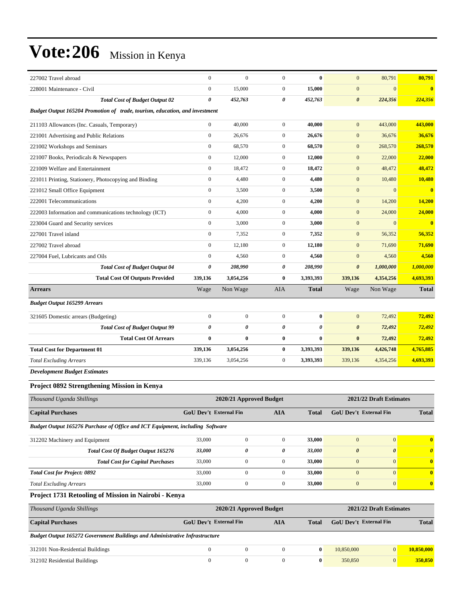| 227002 Travel abroad                                                          | $\boldsymbol{0}$       | $\mathbf{0}$            | $\overline{0}$   | $\bf{0}$     | $\mathbf{0}$            | 80,791                  | 80,791                |  |  |
|-------------------------------------------------------------------------------|------------------------|-------------------------|------------------|--------------|-------------------------|-------------------------|-----------------------|--|--|
| 228001 Maintenance - Civil                                                    | $\boldsymbol{0}$       | 15,000                  | $\boldsymbol{0}$ | 15,000       | $\mathbf{0}$            | $\overline{0}$          | $\bf{0}$              |  |  |
| <b>Total Cost of Budget Output 02</b>                                         | $\boldsymbol{\theta}$  | 452,763                 | 0                | 452,763      | $\boldsymbol{\theta}$   | 224,356                 | 224,356               |  |  |
| Budget Output 165204 Promotion of trade, tourism, education, and investment   |                        |                         |                  |              |                         |                         |                       |  |  |
| 211103 Allowances (Inc. Casuals, Temporary)                                   | $\mathbf{0}$           | 40,000                  | $\boldsymbol{0}$ | 40,000       | $\mathbf{0}$            | 443,000                 | 443,000               |  |  |
| 221001 Advertising and Public Relations                                       | $\mathbf{0}$           | 26,676                  | $\boldsymbol{0}$ | 26,676       | $\mathbf{0}$            | 36,676                  | 36,676                |  |  |
| 221002 Workshops and Seminars                                                 | $\boldsymbol{0}$       | 68,570                  | $\boldsymbol{0}$ | 68,570       | $\mathbf{0}$            | 268,570                 | 268,570               |  |  |
| 221007 Books, Periodicals & Newspapers                                        | $\mathbf{0}$           | 12,000                  | $\boldsymbol{0}$ | 12,000       | $\mathbf{0}$            | 22,000                  | 22,000                |  |  |
| 221009 Welfare and Entertainment                                              | $\boldsymbol{0}$       | 18,472                  | $\boldsymbol{0}$ | 18,472       | $\mathbf{0}$            | 48,472                  | 48,472                |  |  |
| 221011 Printing, Stationery, Photocopying and Binding                         | $\mathbf{0}$           | 4,480                   | $\boldsymbol{0}$ | 4,480        | $\mathbf{0}$            | 10,480                  | 10,480                |  |  |
| 221012 Small Office Equipment                                                 | $\theta$               | 3,500                   | $\boldsymbol{0}$ | 3,500        | $\mathbf{0}$            | $\overline{0}$          | $\bf{0}$              |  |  |
| 222001 Telecommunications                                                     | $\boldsymbol{0}$       | 4,200                   | $\boldsymbol{0}$ | 4,200        | $\mathbf{0}$            | 14,200                  | 14,200                |  |  |
| 222003 Information and communications technology (ICT)                        | $\boldsymbol{0}$       | 4,000                   | $\boldsymbol{0}$ | 4,000        | $\mathbf{0}$            | 24,000                  | 24,000                |  |  |
| 223004 Guard and Security services                                            | $\mathbf{0}$           | 3,000                   | $\boldsymbol{0}$ | 3,000        | $\mathbf{0}$            | $\overline{0}$          | $\bf{0}$              |  |  |
| 227001 Travel inland                                                          | $\mathbf{0}$           | 7,352                   | $\boldsymbol{0}$ | 7,352        | $\mathbf{0}$            | 56,352                  | 56,352                |  |  |
| 227002 Travel abroad                                                          | $\mathbf{0}$           | 12,180                  | $\boldsymbol{0}$ | 12,180       | $\mathbf{0}$            | 71,690                  | 71,690                |  |  |
| 227004 Fuel, Lubricants and Oils                                              | $\mathbf{0}$           | 4,560                   | $\boldsymbol{0}$ | 4,560        | $\mathbf{0}$            | 4,560                   | 4,560                 |  |  |
| <b>Total Cost of Budget Output 04</b>                                         | 0                      | 208,990                 | 0                | 208,990      | $\boldsymbol{\theta}$   | 1,000,000               | 1,000,000             |  |  |
| <b>Total Cost Of Outputs Provided</b>                                         | 339,136                | 3,054,256               | $\bf{0}$         | 3,393,393    | 339,136                 | 4,354,256               | 4,693,393             |  |  |
| <b>Arrears</b>                                                                | Wage                   | Non Wage                | AIA              | Total        | Wage                    | Non Wage                | <b>Total</b>          |  |  |
| <b>Budget Output 165299 Arrears</b>                                           |                        |                         |                  |              |                         |                         |                       |  |  |
| 321605 Domestic arrears (Budgeting)                                           | $\mathbf{0}$           | $\boldsymbol{0}$        | $\mathbf{0}$     | $\bf{0}$     | $\mathbf{0}$            | 72,492                  | 72,492                |  |  |
| <b>Total Cost of Budget Output 99</b>                                         | $\boldsymbol{\theta}$  | $\boldsymbol{\theta}$   | 0                | 0            | $\boldsymbol{\theta}$   | 72,492                  | 72,492                |  |  |
| <b>Total Cost Of Arrears</b>                                                  | $\bf{0}$               | $\bf{0}$                | 0                | $\bf{0}$     | $\bf{0}$                | 72,492                  | 72,492                |  |  |
| <b>Total Cost for Department 01</b>                                           | 339,136                | 3,054,256               | 0                | 3,393,393    | 339,136                 | 4,426,748               | 4,765,885             |  |  |
| <b>Total Excluding Arrears</b>                                                | 339,136                | 3,054,256               | $\boldsymbol{0}$ | 3,393,393    | 339,136                 | 4,354,256               | 4,693,393             |  |  |
| <b>Development Budget Estimates</b>                                           |                        |                         |                  |              |                         |                         |                       |  |  |
| Project 0892 Strengthening Mission in Kenya                                   |                        |                         |                  |              |                         |                         |                       |  |  |
| Thousand Uganda Shillings                                                     |                        | 2020/21 Approved Budget |                  |              |                         | 2021/22 Draft Estimates |                       |  |  |
|                                                                               | GoU Dev't External Fin |                         | AIA              |              | GoU Dev't External Fin  |                         |                       |  |  |
| <b>Capital Purchases</b>                                                      |                        |                         |                  | <b>Total</b> |                         |                         | Total                 |  |  |
| Budget Output 165276 Purchase of Office and ICT Equipment, including Software |                        |                         |                  |              |                         |                         |                       |  |  |
| 312202 Machinery and Equipment                                                | 33,000                 | $\boldsymbol{0}$        | $\boldsymbol{0}$ | 33,000       | $\mathbf{0}$            | $\vert 0 \vert$         | $\bf{0}$              |  |  |
| Total Cost Of Budget Output 165276                                            | 33,000                 | $\pmb{\theta}$          | 0                | 33,000       | $\boldsymbol{\theta}$   | 0                       | $\boldsymbol{\theta}$ |  |  |
| <b>Total Cost for Capital Purchases</b>                                       | 33,000                 | $\boldsymbol{0}$        | $\boldsymbol{0}$ | 33,000       | $\boldsymbol{0}$        | $\boldsymbol{0}$        | $\bf{0}$              |  |  |
| <b>Total Cost for Project: 0892</b>                                           | 33,000                 | $\boldsymbol{0}$        | $\mathbf{0}$     | 33,000       | $\boldsymbol{0}$        | $\overline{0}$          | $\bf{0}$              |  |  |
| <b>Total Excluding Arrears</b>                                                | 33,000                 | $\boldsymbol{0}$        | $\boldsymbol{0}$ | 33,000       | $\boldsymbol{0}$        | $\boldsymbol{0}$        | $\bf{0}$              |  |  |
| Project 1731 Retooling of Mission in Nairobi - Kenya                          |                        |                         |                  |              |                         |                         |                       |  |  |
| Thousand Uganda Shillings                                                     |                        | 2020/21 Approved Budget |                  |              | 2021/22 Draft Estimates |                         |                       |  |  |
| <b>Capital Purchases</b>                                                      | GoU Dev't External Fin |                         | <b>AIA</b>       | <b>Total</b> | GoU Dev't External Fin  |                         | <b>Total</b>          |  |  |
| Budget Output 165272 Government Buildings and Administrative Infrastructure   |                        |                         |                  |              |                         |                         |                       |  |  |
| 312101 Non-Residential Buildings                                              | $\boldsymbol{0}$       | $\boldsymbol{0}$        | $\boldsymbol{0}$ | $\bf{0}$     | 10,850,000              | $\vert 0 \vert$         | 10,850,000            |  |  |
| 312102 Residential Buildings                                                  | $\mathbf{0}$           | $\boldsymbol{0}$        | $\boldsymbol{0}$ | $\bf{0}$     | 350,850                 | 0                       | 350,850               |  |  |